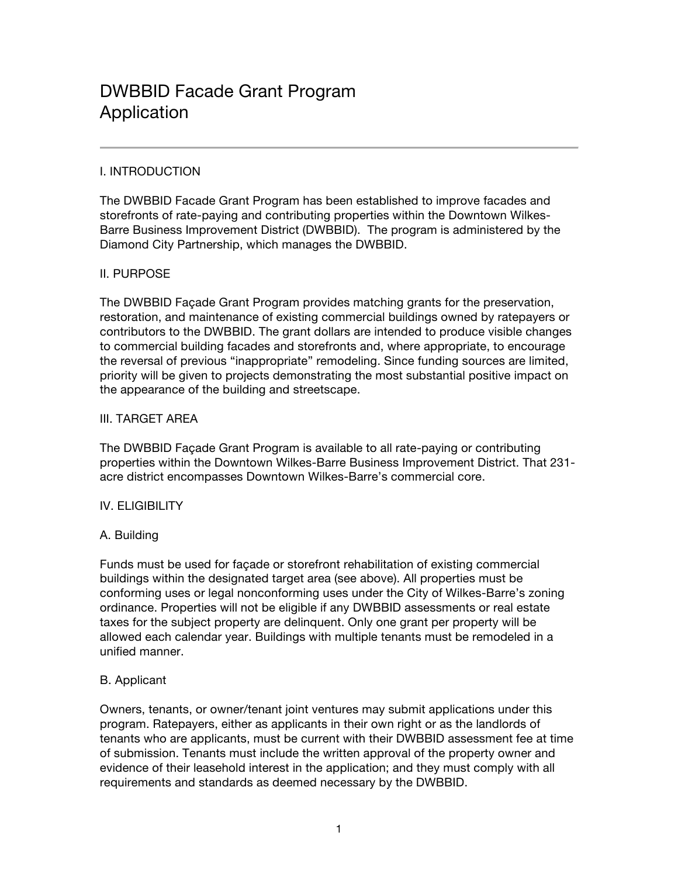# DWBBID Facade Grant Program Application

#### I. INTRODUCTION

The DWBBID Facade Grant Program has been established to improve facades and storefronts of rate-paying and contributing properties within the Downtown Wilkes-Barre Business Improvement District (DWBBID). The program is administered by the Diamond City Partnership, which manages the DWBBID.

#### II. PURPOSE

The DWBBID Façade Grant Program provides matching grants for the preservation, restoration, and maintenance of existing commercial buildings owned by ratepayers or contributors to the DWBBID. The grant dollars are intended to produce visible changes to commercial building facades and storefronts and, where appropriate, to encourage the reversal of previous "inappropriate" remodeling. Since funding sources are limited, priority will be given to projects demonstrating the most substantial positive impact on the appearance of the building and streetscape.

#### III. TARGET AREA

The DWBBID Façade Grant Program is available to all rate-paying or contributing properties within the Downtown Wilkes-Barre Business Improvement District. That 231 acre district encompasses Downtown Wilkes-Barre's commercial core.

#### IV. ELIGIBILITY

#### A. Building

Funds must be used for façade or storefront rehabilitation of existing commercial buildings within the designated target area (see above). All properties must be conforming uses or legal nonconforming uses under the City of Wilkes-Barre's zoning ordinance. Properties will not be eligible if any DWBBID assessments or real estate taxes for the subject property are delinquent. Only one grant per property will be allowed each calendar year. Buildings with multiple tenants must be remodeled in a unified manner.

#### B. Applicant

Owners, tenants, or owner/tenant joint ventures may submit applications under this program. Ratepayers, either as applicants in their own right or as the landlords of tenants who are applicants, must be current with their DWBBID assessment fee at time of submission. Tenants must include the written approval of the property owner and evidence of their leasehold interest in the application; and they must comply with all requirements and standards as deemed necessary by the DWBBID.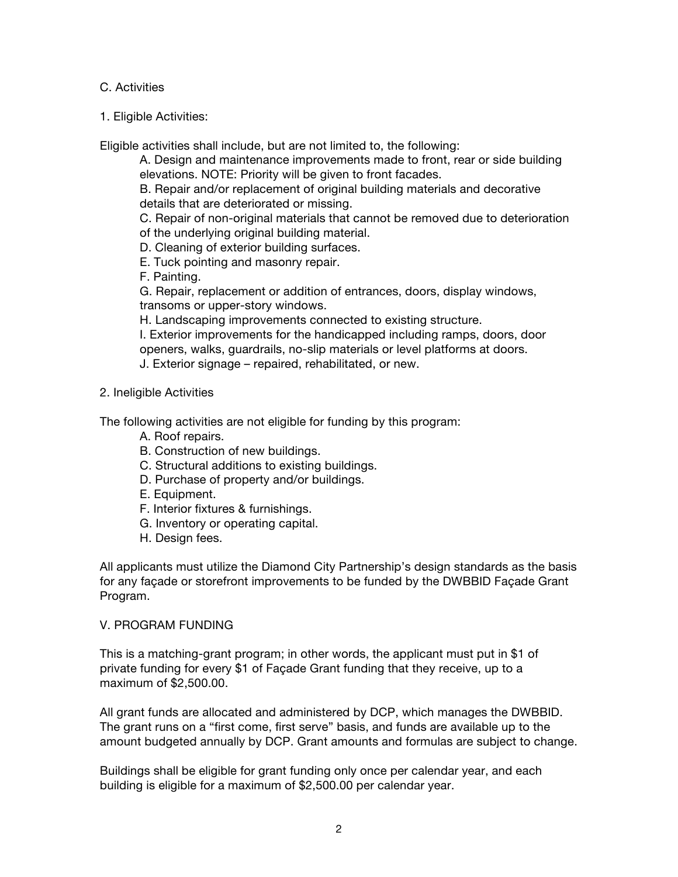#### C. Activities

1. Eligible Activities:

Eligible activities shall include, but are not limited to, the following:

A. Design and maintenance improvements made to front, rear or side building elevations. NOTE: Priority will be given to front facades.

B. Repair and/or replacement of original building materials and decorative details that are deteriorated or missing.

C. Repair of non-original materials that cannot be removed due to deterioration of the underlying original building material.

D. Cleaning of exterior building surfaces.

E. Tuck pointing and masonry repair.

F. Painting.

G. Repair, replacement or addition of entrances, doors, display windows, transoms or upper-story windows.

H. Landscaping improvements connected to existing structure.

I. Exterior improvements for the handicapped including ramps, doors, door openers, walks, guardrails, no-slip materials or level platforms at doors.

- J. Exterior signage repaired, rehabilitated, or new.
- 2. Ineligible Activities

The following activities are not eligible for funding by this program:

A. Roof repairs.

- B. Construction of new buildings.
- C. Structural additions to existing buildings.
- D. Purchase of property and/or buildings.
- E. Equipment.
- F. Interior fixtures & furnishings.
- G. Inventory or operating capital.
- H. Design fees.

All applicants must utilize the Diamond City Partnership's design standards as the basis for any façade or storefront improvements to be funded by the DWBBID Façade Grant Program.

#### V. PROGRAM FUNDING

This is a matching-grant program; in other words, the applicant must put in \$1 of private funding for every \$1 of Façade Grant funding that they receive, up to a maximum of \$2,500.00.

All grant funds are allocated and administered by DCP, which manages the DWBBID. The grant runs on a "first come, first serve" basis, and funds are available up to the amount budgeted annually by DCP. Grant amounts and formulas are subject to change.

Buildings shall be eligible for grant funding only once per calendar year, and each building is eligible for a maximum of \$2,500.00 per calendar year.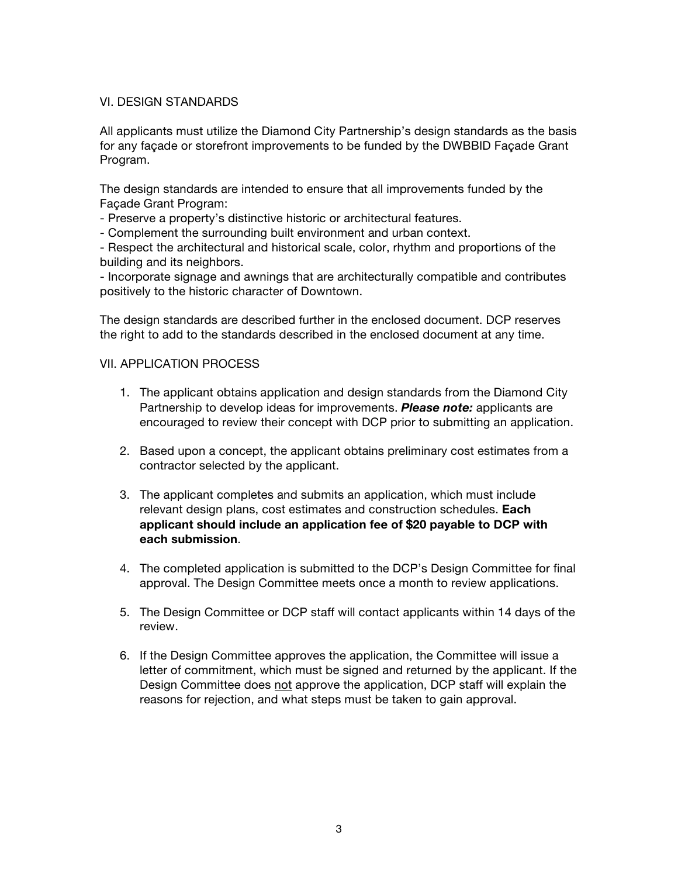#### VI. DESIGN STANDARDS

All applicants must utilize the Diamond City Partnership's design standards as the basis for any façade or storefront improvements to be funded by the DWBBID Façade Grant Program.

The design standards are intended to ensure that all improvements funded by the Façade Grant Program:

- Preserve a property's distinctive historic or architectural features.

- Complement the surrounding built environment and urban context.

- Respect the architectural and historical scale, color, rhythm and proportions of the building and its neighbors.

- Incorporate signage and awnings that are architecturally compatible and contributes positively to the historic character of Downtown.

The design standards are described further in the enclosed document. DCP reserves the right to add to the standards described in the enclosed document at any time.

#### VII. APPLICATION PROCESS

- 1. The applicant obtains application and design standards from the Diamond City Partnership to develop ideas for improvements. *Please note:* applicants are encouraged to review their concept with DCP prior to submitting an application.
- 2. Based upon a concept, the applicant obtains preliminary cost estimates from a contractor selected by the applicant.
- 3. The applicant completes and submits an application, which must include relevant design plans, cost estimates and construction schedules. **Each applicant should include an application fee of \$20 payable to DCP with each submission**.
- 4. The completed application is submitted to the DCP's Design Committee for final approval. The Design Committee meets once a month to review applications.
- 5. The Design Committee or DCP staff will contact applicants within 14 days of the review.
- 6. If the Design Committee approves the application, the Committee will issue a letter of commitment, which must be signed and returned by the applicant. If the Design Committee does not approve the application, DCP staff will explain the reasons for rejection, and what steps must be taken to gain approval.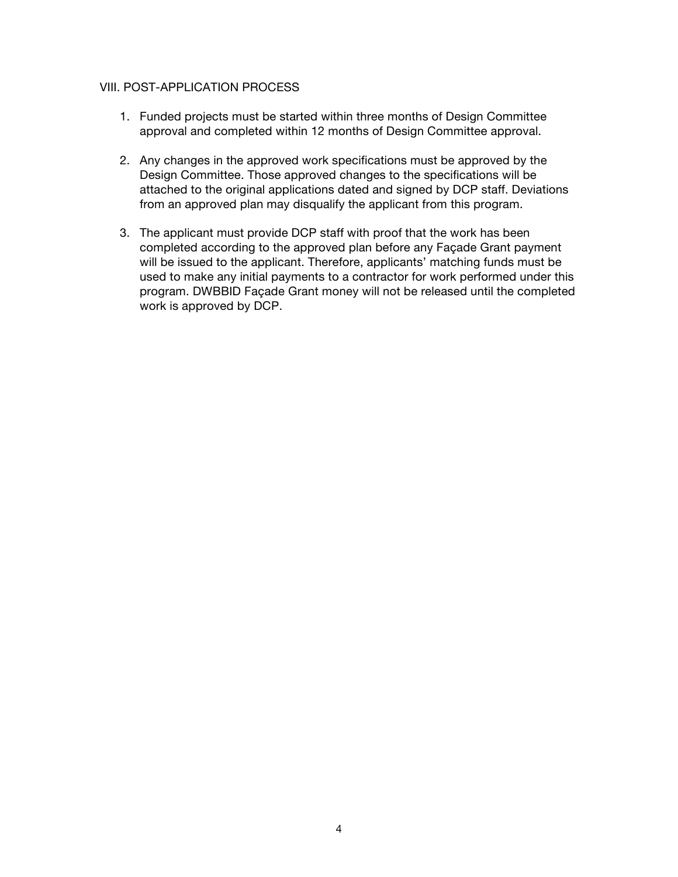#### VIII. POST-APPLICATION PROCESS

- 1. Funded projects must be started within three months of Design Committee approval and completed within 12 months of Design Committee approval.
- 2. Any changes in the approved work specifications must be approved by the Design Committee. Those approved changes to the specifications will be attached to the original applications dated and signed by DCP staff. Deviations from an approved plan may disqualify the applicant from this program.
- 3. The applicant must provide DCP staff with proof that the work has been completed according to the approved plan before any Façade Grant payment will be issued to the applicant. Therefore, applicants' matching funds must be used to make any initial payments to a contractor for work performed under this program. DWBBID Façade Grant money will not be released until the completed work is approved by DCP.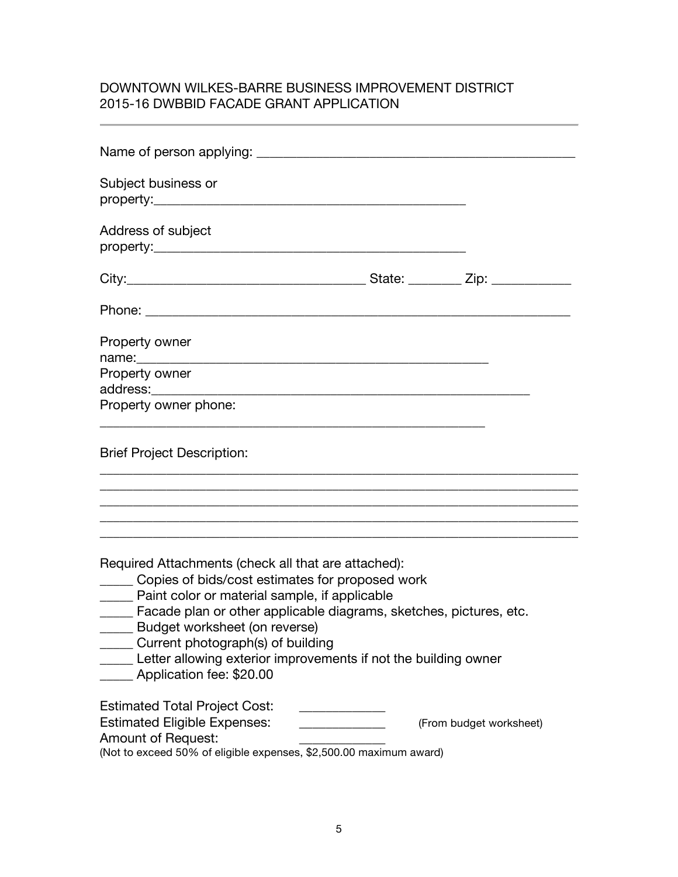### DOWNTOWN WILKES-BARRE BUSINESS IMPROVEMENT DISTRICT 2015-16 DWBBID FACADE GRANT APPLICATION

| Subject business or                                                                                                                                                                                                                                                                                                                                                                                                 |                         |
|---------------------------------------------------------------------------------------------------------------------------------------------------------------------------------------------------------------------------------------------------------------------------------------------------------------------------------------------------------------------------------------------------------------------|-------------------------|
| Address of subject                                                                                                                                                                                                                                                                                                                                                                                                  |                         |
|                                                                                                                                                                                                                                                                                                                                                                                                                     |                         |
|                                                                                                                                                                                                                                                                                                                                                                                                                     |                         |
| Property owner                                                                                                                                                                                                                                                                                                                                                                                                      |                         |
| Property owner<br>address:____________<br>Property owner phone:                                                                                                                                                                                                                                                                                                                                                     |                         |
|                                                                                                                                                                                                                                                                                                                                                                                                                     |                         |
| <b>Brief Project Description:</b>                                                                                                                                                                                                                                                                                                                                                                                   |                         |
| ,我们也不能在这里的时候,我们也不能在这里的时候,我们也不能会在这里的时候,我们也不能会在这里的时候,我们也不能会在这里的时候,我们也不能会在这里的时候,我们也不                                                                                                                                                                                                                                                                                                                                   |                         |
| ,我们也不能在这里的时候,我们也不能在这里的时候,我们也不能会在这里的时候,我们也不能会在这里的时候,我们也不能会在这里的时候,我们也不能会在这里的时候,我们也不                                                                                                                                                                                                                                                                                                                                   |                         |
|                                                                                                                                                                                                                                                                                                                                                                                                                     |                         |
| Required Attachments (check all that are attached):<br>_____ Copies of bids/cost estimates for proposed work<br>_____ Paint color or material sample, if applicable<br>____ Facade plan or other applicable diagrams, sketches, pictures, etc.<br>Budget worksheet (on reverse)<br>Current photograph(s) of building<br>Letter allowing exterior improvements if not the building owner<br>Application fee: \$20.00 |                         |
| <b>Estimated Total Project Cost:</b><br><b>Estimated Eligible Expenses:</b><br><b>Amount of Request:</b><br>(Not to exceed 50% of eligible expenses, \$2,500.00 maximum award)                                                                                                                                                                                                                                      | (From budget worksheet) |